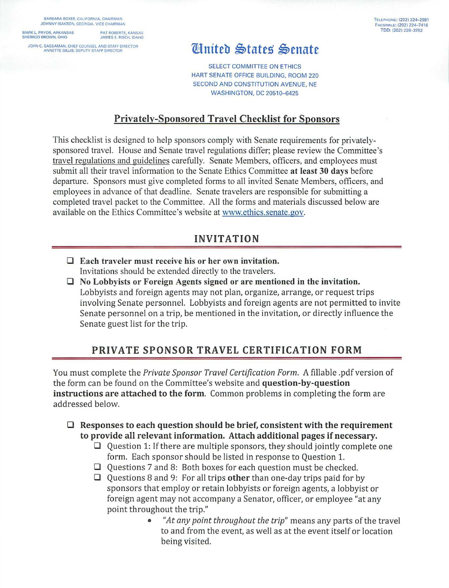BARBARA BOXER. CALIFORNIA, CHAIRMAN JOHNNY ISAKSON, GEORGIA, VICE CHAIRMAN

> PAT ROBERTS, KANSAS JAMES E. RISCH. IDAHO

SHERROD BROWN, OHIO

JOHN C. SASSAMAN, CHIEF COUNSEL AND STAFF DIRECTOR ANNETTE GILLIS. DEPUTY STAFF DIRECTOR

#### T ELEPHONE: (202) 224-2981 FACSIMILE: (202) 224-7416<br>TDD: (202) 228-3752 MARK L. PRYOR, ARKANSAS PAT ROBERTS, KANSAS **ANG ARKANG AT A PERSONAL PROPERTY OF A PASA** TOD: (202) 228–3752

# Ginited States Senate

SELECT COMMITTEE ON ETHICS HART SENATE OFFICE BUILDING, ROOM 220 SECOND AND CONSTITUTION AVENUE, NE WASHINGTON, DC 20510-6425

## **Privately-Sponsored Travel Checklist for Sponsors**

This checklist is designed to help sponsors comply with Senate requirements for privatelysponsored travel. House and Senate travel regulations differ; please review the Committee's [travel regulations and guidelines](http://www.ethics.senate.gov/public/index.cfm/travel) carefully. Senate Members, officers, and employees must submit all their travel information to the Senate Ethics Committee **at least 30 days** before departure. Sponsors must give completed forms to all invited Senate Members, officers, and employees in advance of that deadline. Senate travelers are responsible for submitting a completed travel packet to the Committee. All the forms and materials discussed below are available on the Ethics Committee's website at www.ethics.senate.gov.

### **INVITATION**

- **0 Each traveler must receive his or her own invitation.**  Invitations should be extended directly to the travelers.
- **0 No Lobbyists or Foreign Agents signed or are mentioned in the invitation.**  Lobbyists and foreign agents may not plan, organize, arrange, or request trips involving Senate personnel. Lobbyists and foreign agents are not permitted to invite Senate personnel on a trip, be mentioned in the invitation, or directly influence the Senate guest list for the trip.

## **PRIVATE SPONSOR TRAVEL CERTIFICATION FORM**

You must complete the *Private Sponsor Travel Certification Form.* A fillable .pdf version of the form can be found on the Committee's website and **question-by-question instructions are attached to the form.** Common problems in completing the form are addressed below.

- **0 Responses to each question should be brief, consistent with the requirement to provide all relevant information. Attach additional pages if necessary.** 
	- **0** Question **1:** If there are multiple sponsors, they should jointly complete one form. Each sponsor should be listed in response to Question 1.
	- **0** Questions 7 and 8: Both boxes for each question must be checked.
	- **0** Questions 8 and 9: For all trips **other** than one-day trips paid for by sponsors that employ or retain lobbyists or foreign agents, a lobbyist or foreign agent may not accompany a Senator, officer, or employee "at any point throughout the trip."
		- *"At any point throughout the trip"* means any parts of the travel to and from the event, as well as at the event itself or location being visited.